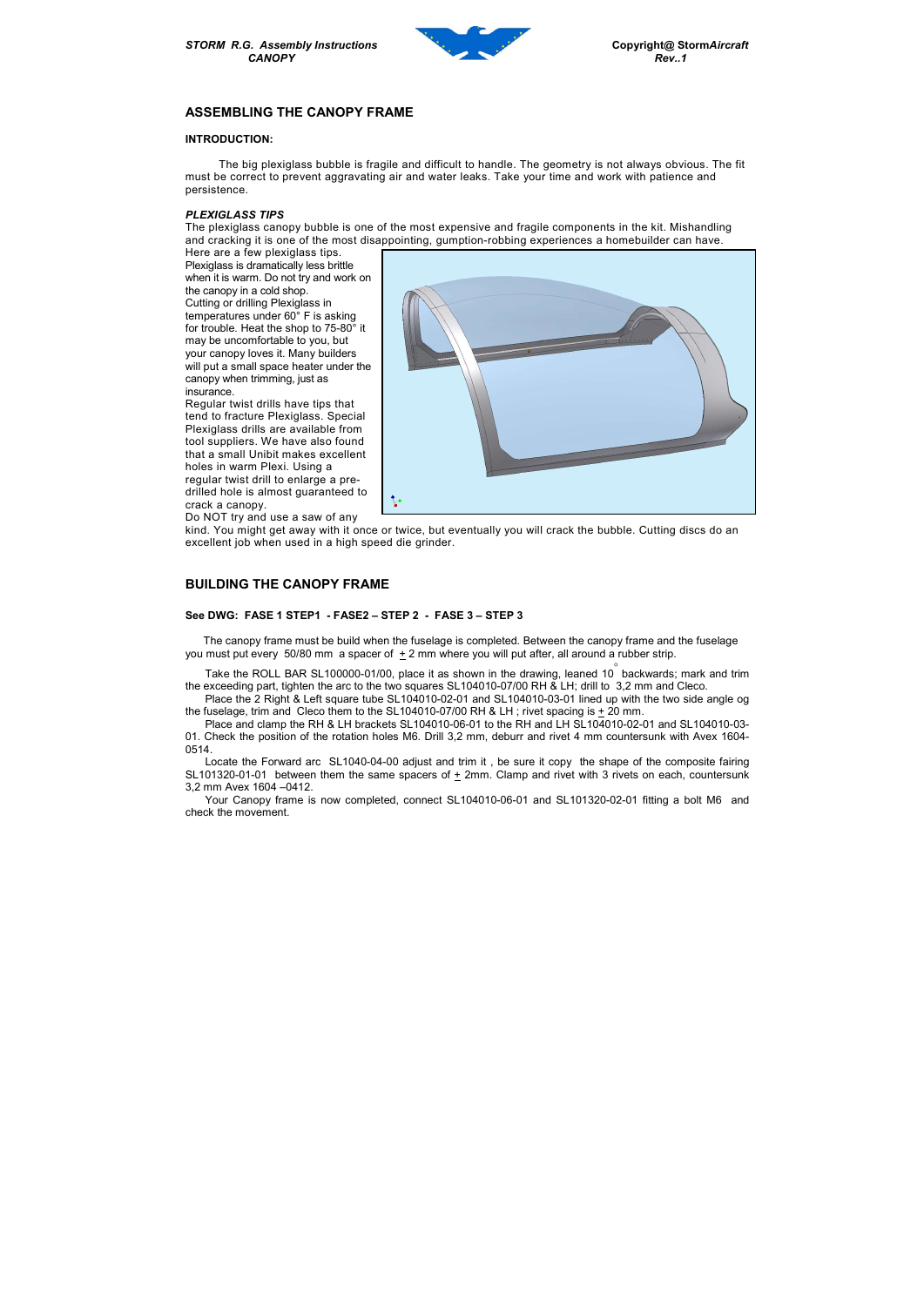STORM R.G. Assembly Instructions Copyright@ StormAircraft



# ASSEMBLING THE CANOPY FRAME

### INTRODUCTION:

 The big plexiglass bubble is fragile and difficult to handle. The geometry is not always obvious. The fit must be correct to prevent aggravating air and water leaks. Take your time and work with patience and persistence.

#### PLEXIGLASS TIPS

The plexiglass canopy bubble is one of the most expensive and fragile components in the kit. Mishandling and cracking it is one of the most disappointing, gumption-robbing experiences a homebuilder can have.

Here are a few plexiglass tips. Plexiglass is dramatically less brittle when it is warm. Do not try and work on the canopy in a cold shop. Cutting or drilling Plexiglass in temperatures under 60° F is asking for trouble. Heat the shop to 75-80° it may be uncomfortable to you, but your canopy loves it. Many builders will put a small space heater under the canopy when trimming, just as insurance.

 The canopy frame must be build when the fuselage is completed. Between the canopy frame and the fuselage you must put every 50/80 mm a spacer of  $\pm 2$  mm where you will put after, all around a rubber strip.

Take the ROLL BAR SL100000-01/00, place it as shown in the drawing, leaned 10 $\degree$  backwards; mark and trim the exceeding part, tighten the arc to the two squares SL104010-07/00 RH & LH; drill to 3,2 mm and Cleco.

Place the 2 Right & Left square tube SL104010-02-01 and SL104010-03-01 lined up with the two side angle og the fuselage, trim and Cleco them to the SL104010-07/00 RH & LH; rivet spacing is  $\pm$  20 mm.

Regular twist drills have tips that tend to fracture Plexiglass. Special Plexiglass drills are available from tool suppliers. We have also found that a small Unibit makes excellent holes in warm Plexi. Using a regular twist drill to enlarge a predrilled hole is almost guaranteed to crack a canopy.

Do NOT try and use a saw of any



kind. You might get away with it once or twice, but eventually you will crack the bubble. Cutting discs do an excellent job when used in a high speed die grinder.

## BUILDING THE CANOPY FRAME

### See DWG: FASE 1 STEP1 - FASE2 – STEP 2 - FASE 3 – STEP 3

Place and clamp the RH & LH brackets SL104010-06-01 to the RH and LH SL104010-02-01 and SL104010-03- 01. Check the position of the rotation holes M6. Drill 3,2 mm, deburr and rivet 4 mm countersunk with Avex 1604- 0514.

Locate the Forward arc SL1040-04-00 adjust and trim it , be sure it copy the shape of the composite fairing SL101320-01-01 between them the same spacers of  $\pm$  2mm. Clamp and rivet with 3 rivets on each, countersunk 3,2 mm Avex 1604 –0412.

Your Canopy frame is now completed, connect SL104010-06-01 and SL101320-02-01 fitting a bolt M6 and check the movement.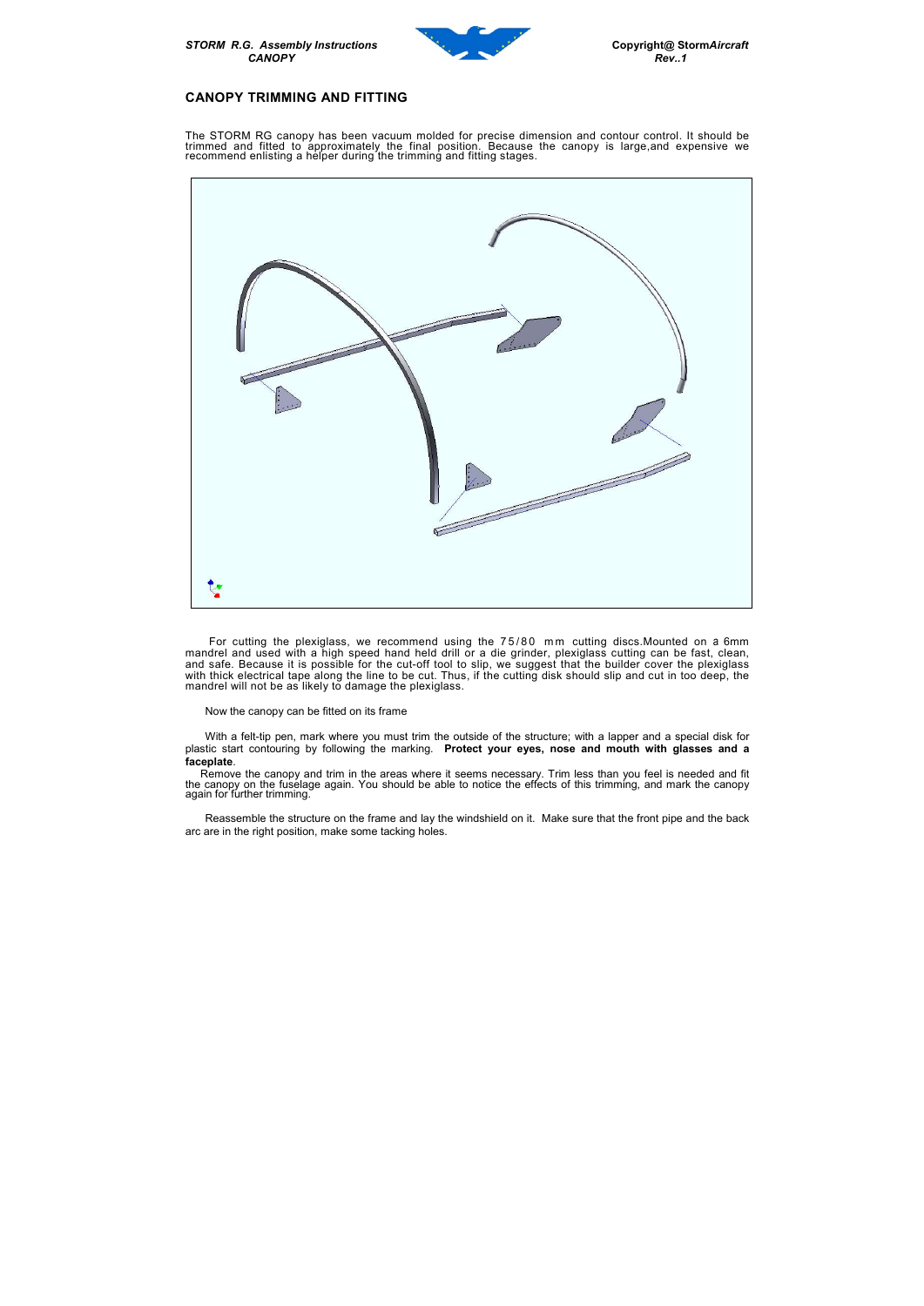STORM R.G. Assembly Instructions Copyright@ StormAircraft



### CANOPY TRIMMING AND FITTING

The STORM RG canopy has been vacuum molded for precise dimension and contour control. It should be trimmed and fitted to approximately the final position. Because the canopy is large,and expensive we recommend enlisting a helper during the trimming and fitting stages.



For cutting the plexiglass, we recommend using the 75/80 mm cutting discs. Mounted on a 6mm mandrel and used with a high speed hand held drill or a die grinder, plexiglass cutting can be fast, clean, and safe. Because it is possible for the cut-off tool to slip, we suggest that the builder cover the plexiglass with thick electrical tape along the line to be cut. Thus, if the cutting disk should slip and cut in too deep, the mandrel will not be as likely to damage the plexiglass.

 Remove the canopy and trim in the areas where it seems necessary. Trim less than you feel is needed and fit the canopy on the fuselage again. You should be able to notice the effects of this trimming, and mark the canopy again for further trimming.

Now the canopy can be fitted on its frame

With a felt-tip pen, mark where you must trim the outside of the structure; with a lapper and a special disk for plastic start contouring by following the marking. Protect your eyes, nose and mouth with glasses and a faceplate.

Reassemble the structure on the frame and lay the windshield on it. Make sure that the front pipe and the back arc are in the right position, make some tacking holes.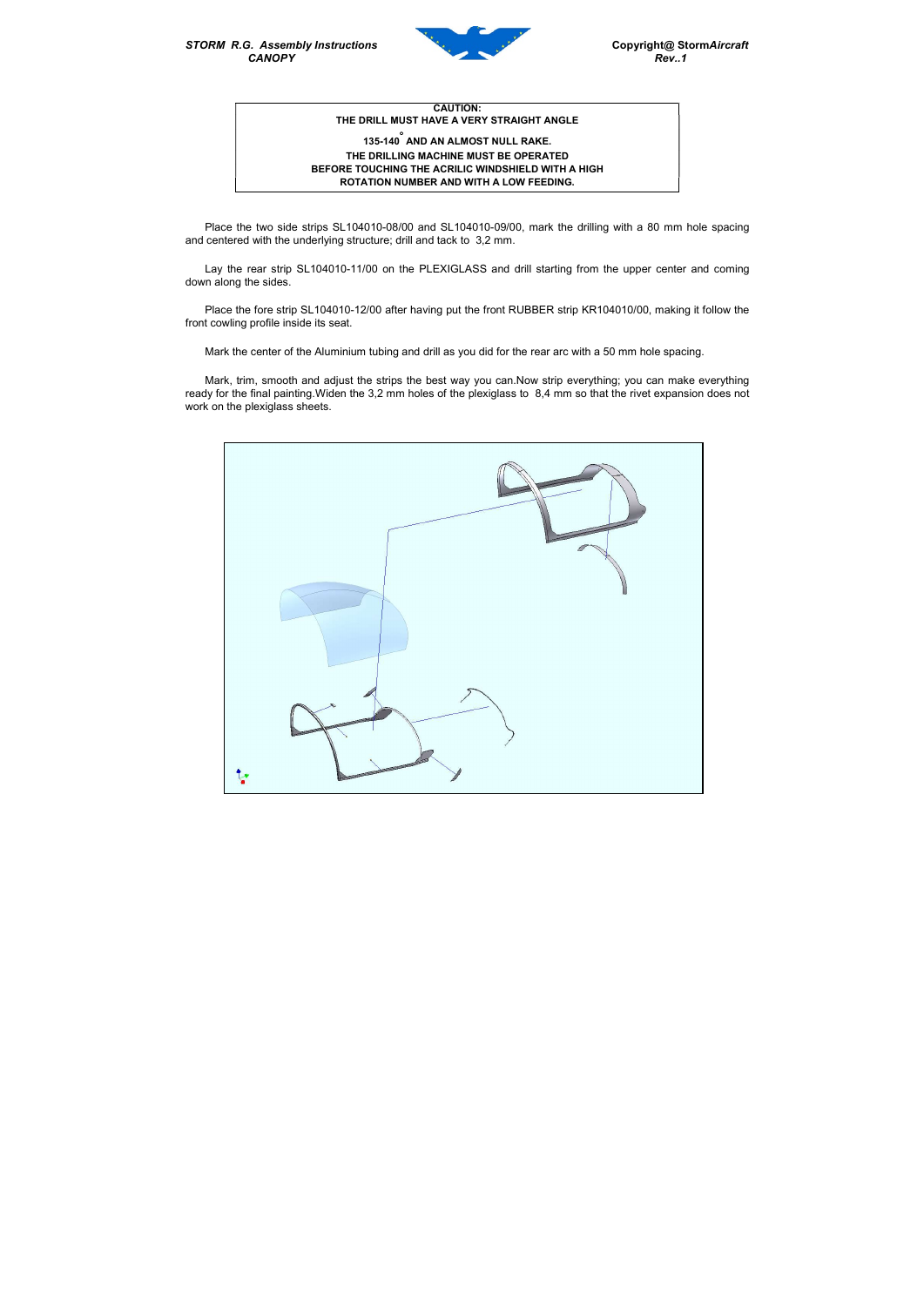STORM R.G. Assembly Instructions Copyright@ StormAircraft CANOPY Rev. 1



CAUTION: THE DRILL MUST HAVE A VERY STRAIGHT ANGLE

## 135-140 AND AN ALMOST NULL RAKE. THE DRILLING MACHINE MUST BE OPERATED BEFORE TOUCHING THE ACRILIC WINDSHIELD WITH A HIGH ROTATION NUMBER AND WITH A LOW FEEDING.

Place the two side strips SL104010-08/00 and SL104010-09/00, mark the drilling with a 80 mm hole spacing and centered with the underlying structure; drill and tack to 3,2 mm.

Lay the rear strip SL104010-11/00 on the PLEXIGLASS and drill starting from the upper center and coming down along the sides.

Place the fore strip SL104010-12/00 after having put the front RUBBER strip KR104010/00, making it follow the front cowling profile inside its seat.

Mark the center of the Aluminium tubing and drill as you did for the rear arc with a 50 mm hole spacing.

Mark, trim, smooth and adjust the strips the best way you can.Now strip everything; you can make everything ready for the final painting.Widen the 3,2 mm holes of the plexiglass to 8,4 mm so that the rivet expansion does not work on the plexiglass sheets.

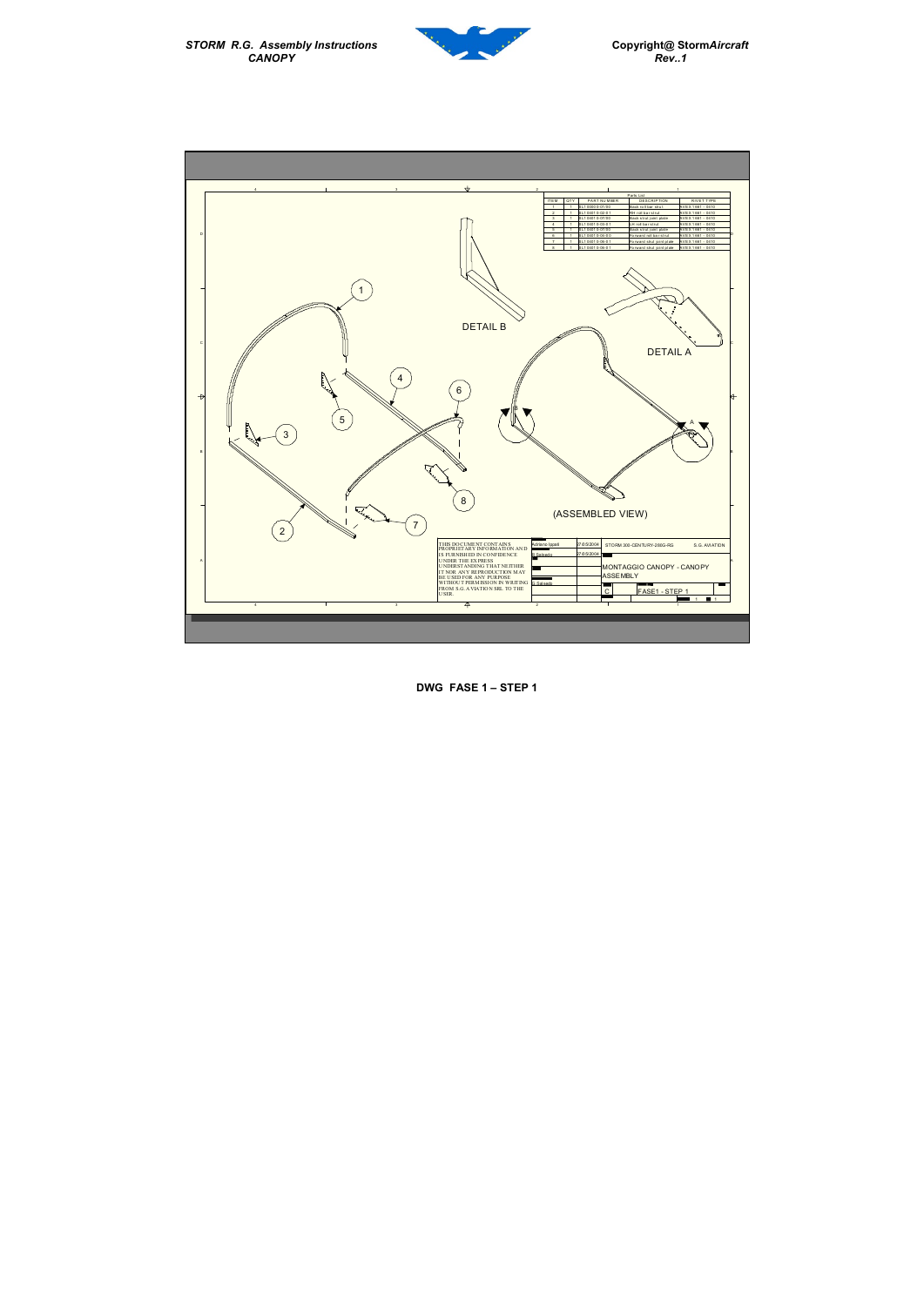STORM R.G. Assembly Instructions Copyright@ StormAircraft CANOPY Rev..1





DWG FASE 1 – STEP 1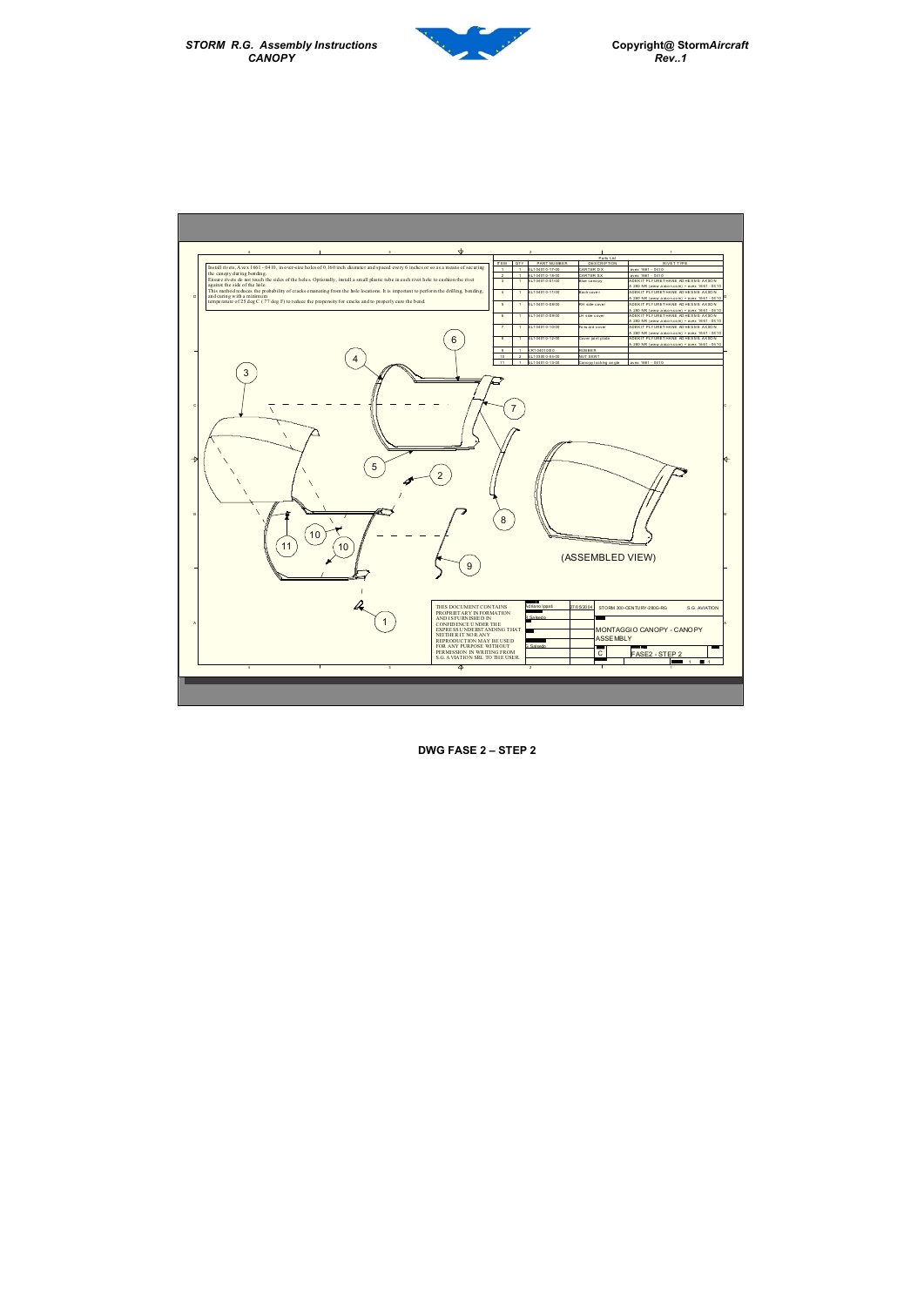STORM R.G. Assembly Instructions<br>CANOPY



DWG FASE 2 – STEP 2

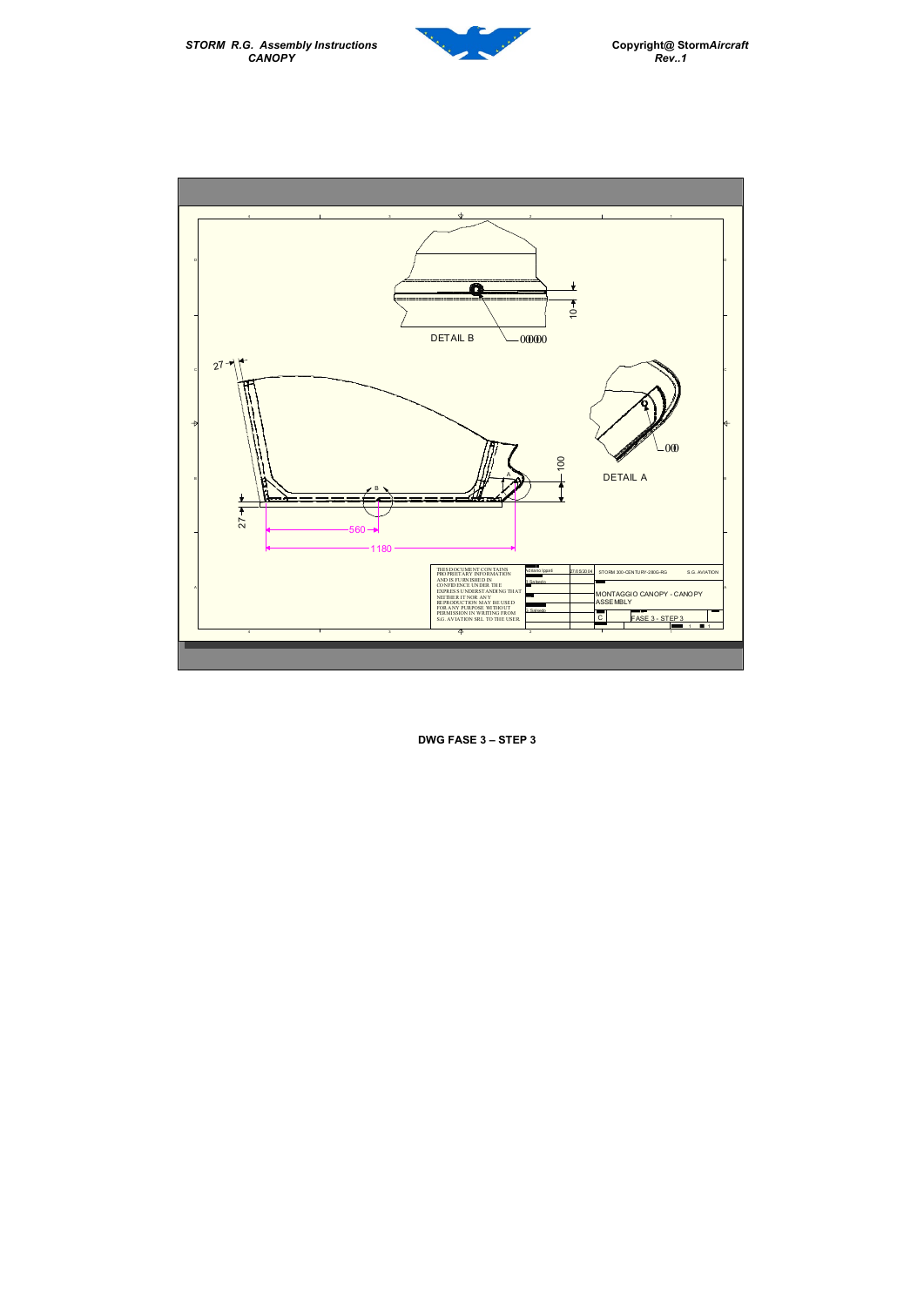DWG FASE 3 – STEP 3